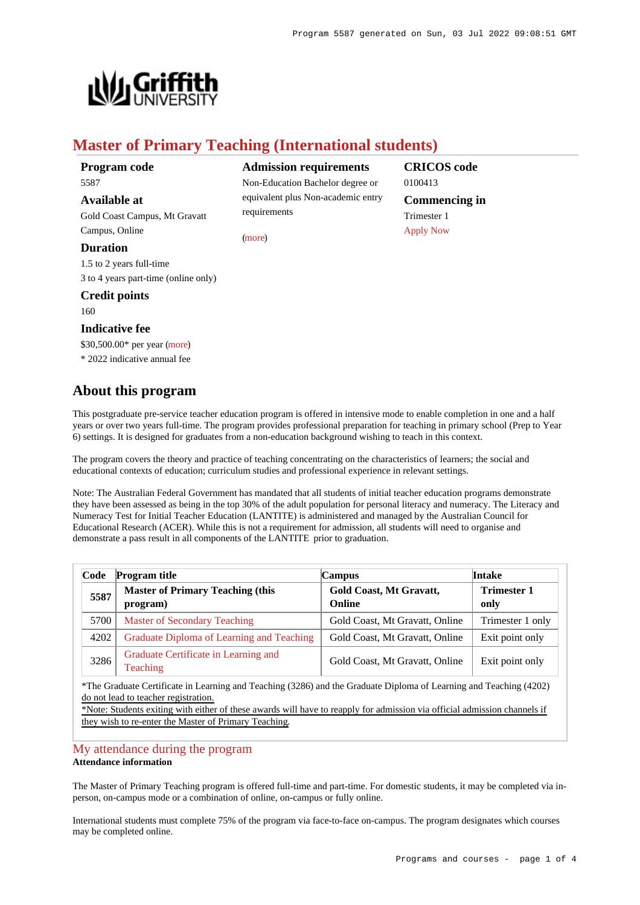

# **Master of Primary Teaching (International students)**

**Program code** 5587

# **Available at**

Gold Coast Campus, Mt Gravatt Campus, Online

# **Duration**

1.5 to 2 years full-time 3 to 4 years part-time (online only)

# **Credit points**

160

# **Indicative fee**

\$30,500.00\* per year [\(more](https://www148.griffith.edu.au/programs-courses/Program/5587/Overview/International#fees)) \* 2022 indicative annual fee

# **About this program**

**Admission requirements**

Non-Education Bachelor degree or equivalent plus Non-academic entry requirements

[\(more](https://www148.griffith.edu.au/programs-courses/Program/5587/HowToApply/International#can-i-apply))

# **CRICOS code** 0100413 **Commencing in** Trimester 1 [Apply Now](https://www148.griffith.edu.au/programs-courses/Program/5587/HowToApply/International#process)

This postgraduate pre-service teacher education program is offered in intensive mode to enable completion in one and a half years or over two years full-time. The program provides professional preparation for teaching in primary school (Prep to Year 6) settings. It is designed for graduates from a non-education background wishing to teach in this context.

The program covers the theory and practice of teaching concentrating on the characteristics of learners; the social and educational contexts of education; curriculum studies and professional experience in relevant settings.

Note: The Australian Federal Government has mandated that all students of initial teacher education programs demonstrate they have been assessed as being in the top 30% of the adult population for personal literacy and numeracy. The Literacy and Numeracy Test for Initial Teacher Education (LANTITE) is administered and managed by the Australian Council for Educational Research (ACER). While this is not a requirement for admission, all students will need to organise and demonstrate a pass result in all components of the LANTITE prior to graduation.

| Code | <b>Program title</b>                                | <b>Campus</b>                     | <b>Intake</b>              |
|------|-----------------------------------------------------|-----------------------------------|----------------------------|
| 5587 | <b>Master of Primary Teaching (this</b><br>program) | Gold Coast, Mt Gravatt,<br>Online | <b>Trimester 1</b><br>only |
| 5700 | Master of Secondary Teaching                        | Gold Coast, Mt Gravatt, Online    | Trimester 1 only           |
| 4202 | Graduate Diploma of Learning and Teaching           | Gold Coast, Mt Gravatt, Online    | Exit point only            |
| 3286 | Graduate Certificate in Learning and<br>Teaching    | Gold Coast, Mt Gravatt, Online    | Exit point only            |

\*The Graduate Certificate in Learning and Teaching (3286) and the Graduate Diploma of Learning and Teaching (4202) do not lead to teacher registration.

\*Note: Students exiting with either of these awards will have to reapply for admission via official admission channels if they wish to re-enter the Master of Primary Teaching.

# [My attendance during the program](https://www148.griffith.edu.au/programs-courses/Program/5587/Overview/International#attendance) **Attendance information**

The Master of Primary Teaching program is offered full-time and part-time. For domestic students, it may be completed via inperson, on-campus mode or a combination of online, on-campus or fully online.

International students must complete 75% of the program via face-to-face on-campus. The program designates which courses may be completed online.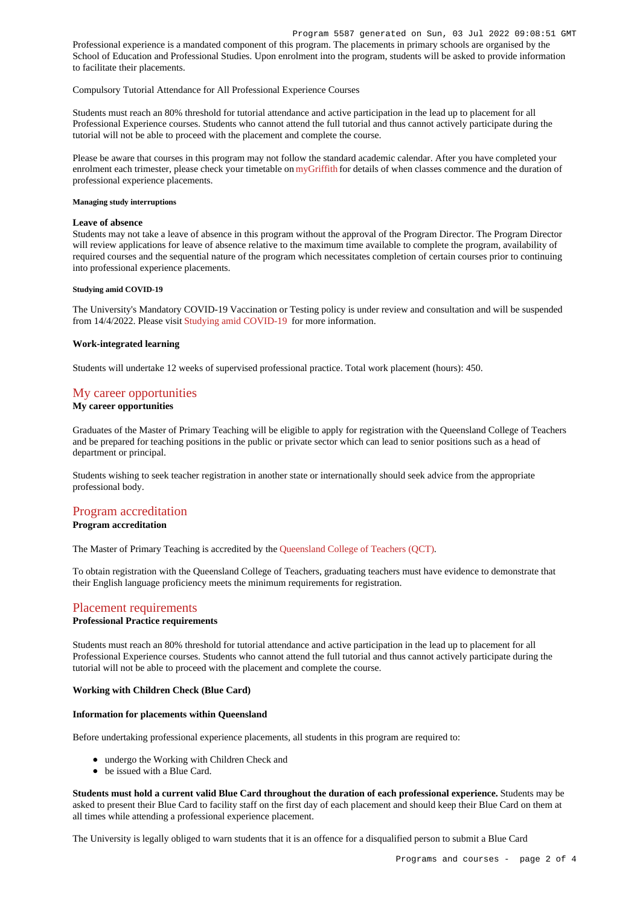Professional experience is a mandated component of this program. The placements in primary schools are organised by the School of Education and Professional Studies. Upon enrolment into the program, students will be asked to provide information to facilitate their placements.

## Compulsory Tutorial Attendance for All Professional Experience Courses

Students must reach an 80% threshold for tutorial attendance and active participation in the lead up to placement for all Professional Experience courses. Students who cannot attend the full tutorial and thus cannot actively participate during the tutorial will not be able to proceed with the placement and complete the course.

Please be aware that courses in this program may not follow the standard academic calendar. After you have completed your enrolment each trimester, please check your timetable on [myGriffith](https://my.griffith.edu.au/) for details of when classes commence and the duration of professional experience placements.

## **Managing study interruptions**

#### **Leave of absence**

Students may not take a leave of absence in this program without the approval of the Program Director. The Program Director will review applications for leave of absence relative to the maximum time available to complete the program, availability of required courses and the sequential nature of the program which necessitates completion of certain courses prior to continuing into professional experience placements.

#### **Studying amid COVID-19**

The University's Mandatory COVID-19 Vaccination or Testing policy is under review and consultation and will be suspended from 14/4/2022. Please visit [Studying amid COVID-19](https://www.griffith.edu.au/coronavirus/studying-amid-covid-19) for more information.

#### **Work-integrated learning**

Students will undertake 12 weeks of supervised professional practice. Total work placement (hours): 450.

# [My career opportunities](https://www148.griffith.edu.au/programs-courses/Program/5587/Overview/International#opportunities)

# **My career opportunities**

Graduates of the Master of Primary Teaching will be eligible to apply for registration with the Queensland College of Teachers and be prepared for teaching positions in the public or private sector which can lead to senior positions such as a head of department or principal.

Students wishing to seek teacher registration in another state or internationally should seek advice from the appropriate professional body.

# [Program accreditation](https://www148.griffith.edu.au/programs-courses/Program/5587/Overview/International#accreditation)

## **Program accreditation**

The Master of Primary Teaching is accredited by the [Queensland College of Teachers \(QCT\)](http://www.qct.edu.au/).

To obtain registration with the Queensland College of Teachers, graduating teachers must have evidence to demonstrate that their English language proficiency meets the minimum requirements for registration.

# [Placement requirements](https://www148.griffith.edu.au/programs-courses/Program/5587/Overview/International#placement)

## **Professional Practice requirements**

Students must reach an 80% threshold for tutorial attendance and active participation in the lead up to placement for all Professional Experience courses. Students who cannot attend the full tutorial and thus cannot actively participate during the tutorial will not be able to proceed with the placement and complete the course.

## **Working with Children Check (Blue Card)**

## **Information for placements within Queensland**

Before undertaking professional experience placements, all students in this program are required to:

- undergo the Working with Children Check and
- be issued with a Blue Card.

**Students must hold a current valid Blue Card throughout the duration of each professional experience.** Students may be asked to present their Blue Card to facility staff on the first day of each placement and should keep their Blue Card on them at all times while attending a professional experience placement.

The University is legally obliged to warn students that it is an offence for a disqualified person to submit a Blue Card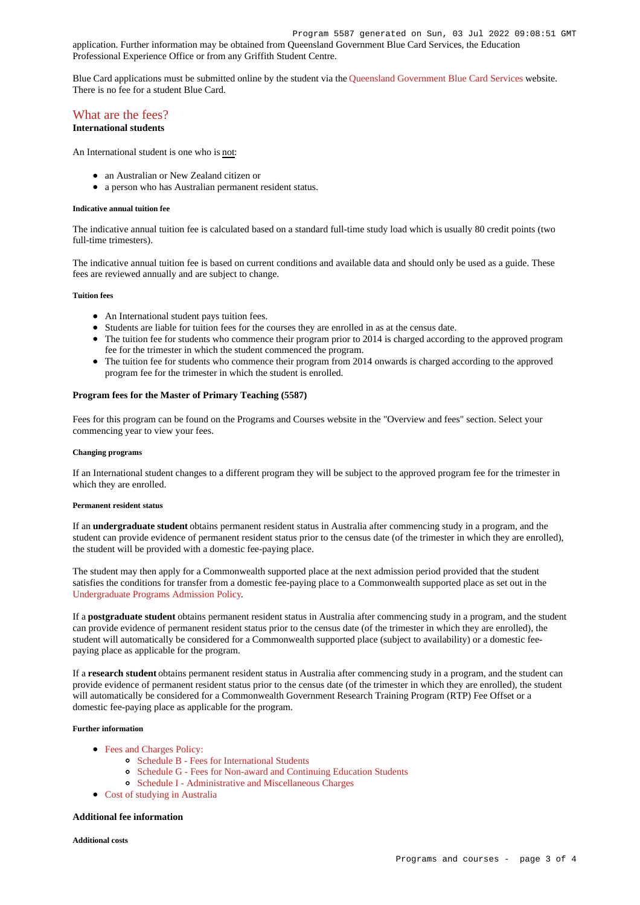application. Further information may be obtained from Queensland Government Blue Card Services, the Education Professional Experience Office or from any Griffith Student Centre.

Blue Card applications must be submitted online by the student via the [Queensland Government Blue Card Services](https://www.bluecard.qld.gov.au/) website. There is no fee for a student Blue Card.

# [What are the fees?](https://www148.griffith.edu.au/programs-courses/Program/5587/Overview/International#fees)

# **International students**

An International student is one who is not:

- an Australian or New Zealand citizen or
- a person who has Australian permanent resident status.

#### **Indicative annual tuition fee**

The indicative annual tuition fee is calculated based on a standard full-time study load which is usually 80 credit points (two full-time trimesters).

The indicative annual tuition fee is based on current conditions and available data and should only be used as a guide. These fees are reviewed annually and are subject to change.

#### **Tuition fees**

- An International student pays tuition fees.
- Students are liable for tuition fees for the courses they are enrolled in as at the census date.
- The tuition fee for students who commence their program prior to 2014 is charged according to the approved program fee for the trimester in which the student commenced the program.
- The tuition fee for students who commence their program from 2014 onwards is charged according to the approved program fee for the trimester in which the student is enrolled.

## **Program fees for the Master of Primary Teaching (5587)**

Fees for this program can be found on the Programs and Courses website in the "Overview and fees" section. Select your commencing year to view your fees.

#### **Changing programs**

If an International student changes to a different program they will be subject to the approved program fee for the trimester in which they are enrolled.

#### **Permanent resident status**

If an **undergraduate student** obtains permanent resident status in Australia after commencing study in a program, and the student can provide evidence of permanent resident status prior to the census date (of the trimester in which they are enrolled), the student will be provided with a domestic fee-paying place.

The student may then apply for a Commonwealth supported place at the next admission period provided that the student satisfies the conditions for transfer from a domestic fee-paying place to a Commonwealth supported place as set out in the [Undergraduate Programs Admission Policy](http://policies.griffith.edu.au/pdf/Undergraduate Programs Admission Policy.pdf).

If a **postgraduate student** obtains permanent resident status in Australia after commencing study in a program, and the student can provide evidence of permanent resident status prior to the census date (of the trimester in which they are enrolled), the student will automatically be considered for a Commonwealth supported place (subject to availability) or a domestic feepaying place as applicable for the program.

If a **research student** obtains permanent resident status in Australia after commencing study in a program, and the student can provide evidence of permanent resident status prior to the census date (of the trimester in which they are enrolled), the student will automatically be considered for a Commonwealth Government Research Training Program (RTP) Fee Offset or a domestic fee-paying place as applicable for the program.

#### **Further information**

- [Fees and Charges Policy:](https://policies.griffith.edu.au/pdf/Fees and Charges Policy.pdf)
	- [Schedule B Fees for International Students](https://policies.griffith.edu.au/pdf/Fees and Charges Policy Schedule B.pdf)
	- [Schedule G Fees for Non-award and Continuing Education Students](https://policies.griffith.edu.au/pdf/Fees and Charges Policy Schedule G.pdf)
	- [Schedule I Administrative and Miscellaneous Charges](https://policies.griffith.edu.au/pdf/Fees and Charges Policy Schedule I.pdf)
- [Cost of studying in Australia](https://www.griffith.edu.au/life-at-griffith/australia/cost-of-studying)

#### **Additional fee information**

**Additional costs**